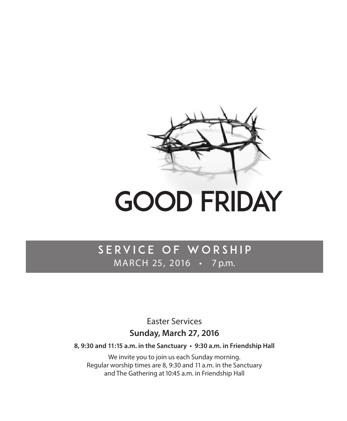

# Good Friday

# SERVICE OF WORSHIP MARCH 25, 2016 • 7 p.m.

Easter Services

## **Sunday, March 27, 2016**

**8, 9:30 and 11:15 a.m. in the Sanctuary • 9:30 a.m. in Friendship Hall** 

We invite you to join us each Sunday morning. Regular worship times are 8, 9:30 and 11 a.m. in the Sanctuary and The Gathering at 10:45 a.m. in Friendship Hall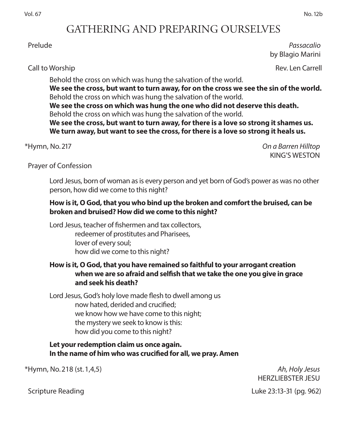## GATHERING AND PREPARING OURSELVES

 Prelude *Passacalio*  by Blagio Marini

Call to Worship Rev. Len Carrell

Behold the cross on which was hung the salvation of the world. **We see the cross, but want to turn away, for on the cross we see the sin of the world.**  Behold the cross on which was hung the salvation of the world. **We see the cross on which was hung the one who did not deserve this death.** Behold the cross on which was hung the salvation of the world. **We see the cross, but want to turn away, for there is a love so strong it shames us. We turn away, but want to see the cross, for there is a love so strong it heals us.**

\*Hymn, No. 217 *On a Barren Hilltop*  KING'S WESTON

Prayer of Confession

Lord Jesus, born of woman as is every person and yet born of God's power as was no other person, how did we come to this night?

#### **How is it, O God, that you who bind up the broken and comfort the bruised, can be broken and bruised? How did we come to this night?**

Lord Jesus, teacher of fishermen and tax collectors, redeemer of prostitutes and Pharisees, lover of every soul; how did we come to this night?

#### **How is it, O God, that you have remained so faithful to your arrogant creation when we are so afraid and selfish that we take the one you give in grace and seek his death?**

Lord Jesus, God's holy love made flesh to dwell among us now hated, derided and crucified; we know how we have come to this night; the mystery we seek to know is this: how did you come to this night?

#### **Let your redemption claim us once again. In the name of him who was crucified for all, we pray. Amen**

\*Hymn, No. 218 (st. 1,4,5) *Ah, Holy Jesus* 

HERZLIEBSTER JESU

Scripture Reading **Luke 23:13-31** (pg. 962)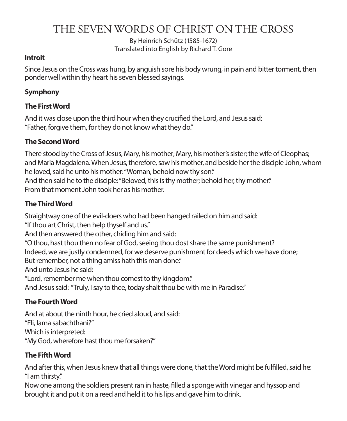# THE SEVEN WORDS OF CHRIST ON THE CROSS

By Heinrich Schütz (1585-1672) Translated into English by Richard T. Gore

#### **Introit**

Since Jesus on the Cross was hung, by anguish sore his body wrung, in pain and bitter torment, then ponder well within thy heart his seven blessed sayings.

#### **Symphony**

#### **The First Word**

And it was close upon the third hour when they crucified the Lord, and Jesus said: "Father, forgive them, for they do not know what they do."

#### **The Second Word**

There stood by the Cross of Jesus, Mary, his mother; Mary, his mother's sister; the wife of Cleophas; and Maria Magdalena. When Jesus, therefore, saw his mother, and beside her the disciple John, whom he loved, said he unto his mother: "Woman, behold now thy son." And then said he to the disciple: "Beloved, this is thy mother; behold her, thy mother." From that moment John took her as his mother.

#### **The Third Word**

Straightway one of the evil-doers who had been hanged railed on him and said: "If thou art Christ, then help thyself and us." And then answered the other, chiding him and said: "O thou, hast thou then no fear of God, seeing thou dost share the same punishment? Indeed, we are justly condemned, for we deserve punishment for deeds which we have done; But remember, not a thing amiss hath this man done." And unto Jesus he said: "Lord, remember me when thou comest to thy kingdom." And Jesus said: "Truly, I say to thee, today shalt thou be with me in Paradise."

#### **The Fourth Word**

And at about the ninth hour, he cried aloud, and said: "Eli, lama sabachthani?" Which is interpreted: "My God, wherefore hast thou me forsaken?"

#### **The Fifth Word**

And after this, when Jesus knew that all things were done, that the Word might be fulfilled, said he: "I am thirsty."

Now one among the soldiers present ran in haste, filled a sponge with vinegar and hyssop and brought it and put it on a reed and held it to his lips and gave him to drink.